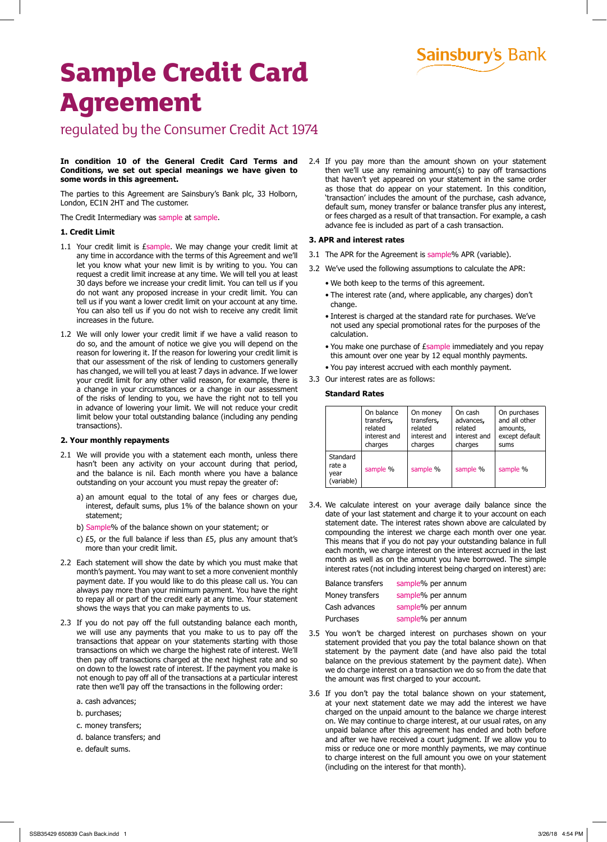# **Sainsbury's Bank**

# **Sample Credit Card Agreement**

### regulated by the Consumer Credit Act 1974

#### **In condition 10 of the General Credit Card Terms and Conditions, we set out special meanings we have given to some words in this agreement.**

The parties to this Agreement are Sainsbury's Bank plc, 33 Holborn, London, EC1N 2HT and The customer.

The Credit Intermediary was sample at sample.

#### **1. Credit Limit**

- 1.1 Your credit limit is *Esample*. We may change your credit limit at any time in accordance with the terms of this Agreement and we'll let you know what your new limit is by writing to you. You can request a credit limit increase at any time. We will tell you at least 30 days before we increase your credit limit. You can tell us if you do not want any proposed increase in your credit limit. You can tell us if you want a lower credit limit on your account at any time. You can also tell us if you do not wish to receive any credit limit increases in the future.
- 1.2 We will only lower your credit limit if we have a valid reason to do so, and the amount of notice we give you will depend on the reason for lowering it. If the reason for lowering your credit limit is that our assessment of the risk of lending to customers generally has changed, we will tell you at least 7 days in advance. If we lower your credit limit for any other valid reason, for example, there is a change in your circumstances or a change in our assessment of the risks of lending to you, we have the right not to tell you in advance of lowering your limit. We will not reduce your credit limit below your total outstanding balance (including any pending transactions).

#### **2. Your monthly repayments**

- 2.1 We will provide you with a statement each month, unless there hasn't been any activity on your account during that period, and the balance is nil. Each month where you have a balance outstanding on your account you must repay the greater of:
	- a) an amount equal to the total of any fees or charges due, interest, default sums, plus 1% of the balance shown on your statement;
	- b) Sample% of the balance shown on your statement; or
	- c) £5, or the full balance if less than £5, plus any amount that's more than your credit limit.
- 2.2 Each statement will show the date by which you must make that month's payment. You may want to set a more convenient monthly payment date. If you would like to do this please call us. You can always pay more than your minimum payment. You have the right to repay all or part of the credit early at any time. Your statement shows the ways that you can make payments to us.
- 2.3 If you do not pay off the full outstanding balance each month, we will use any payments that you make to us to pay off the transactions that appear on your statements starting with those transactions on which we charge the highest rate of interest. We'll then pay off transactions charged at the next highest rate and so on down to the lowest rate of interest. If the payment you make is not enough to pay off all of the transactions at a particular interest rate then we'll pay off the transactions in the following order:
	- a. cash advances;
	- b. purchases;
	- c. money transfers;
	- d. balance transfers; and
	- e. default sums.

2.4 If you pay more than the amount shown on your statement then we'll use any remaining amount(s) to pay off transactions that haven't yet appeared on your statement in the same order as those that do appear on your statement. In this condition, 'transaction' includes the amount of the purchase, cash advance, default sum, money transfer or balance transfer plus any interest, or fees charged as a result of that transaction. For example, a cash advance fee is included as part of a cash transaction.

#### **3. APR and interest rates**

- 3.1 The APR for the Agreement is sample% APR (variable).
- 3.2 We've used the following assumptions to calculate the APR:
	- We both keep to the terms of this agreement.
	- The interest rate (and, where applicable, any charges) don't change.
	- Interest is charged at the standard rate for purchases. We've not used any special promotional rates for the purposes of the calculation.
	- You make one purchase of £sample immediately and you repay this amount over one year by 12 equal monthly payments.
	- You pay interest accrued with each monthly payment.
- 3.3 Our interest rates are as follows:

#### **Standard Rates**

|                                          | On balance   | On money     | On cash      | On purchases   |
|------------------------------------------|--------------|--------------|--------------|----------------|
|                                          | transfers,   | transfers,   | advances,    | and all other  |
|                                          | related      | related      | related      | amounts,       |
|                                          | interest and | interest and | interest and | except default |
|                                          | charges      | charges      | charges      | sums           |
| Standard<br>rate a<br>year<br>(variable) | sample %     | sample %     | sample %     | sample %       |

3.4. We calculate interest on your average daily balance since the date of your last statement and charge it to your account on each statement date. The interest rates shown above are calculated by compounding the interest we charge each month over one year. This means that if you do not pay your outstanding balance in full each month, we charge interest on the interest accrued in the last month as well as on the amount you have borrowed. The simple interest rates (not including interest being charged on interest) are:

| <b>Balance transfers</b> | sample% per annum |
|--------------------------|-------------------|
| Money transfers          | sample% per annum |
| Cash advances            | sample% per annum |
| Purchases                | sample% per annum |

- 3.5 You won't be charged interest on purchases shown on your statement provided that you pay the total balance shown on that statement by the payment date (and have also paid the total balance on the previous statement by the payment date). When we do charge interest on a transaction we do so from the date that the amount was first charged to your account.
- 3.6 If you don't pay the total balance shown on your statement, at your next statement date we may add the interest we have charged on the unpaid amount to the balance we charge interest on. We may continue to charge interest, at our usual rates, on any unpaid balance after this agreement has ended and both before and after we have received a court judgment. If we allow you to miss or reduce one or more monthly payments, we may continue to charge interest on the full amount you owe on your statement (including on the interest for that month).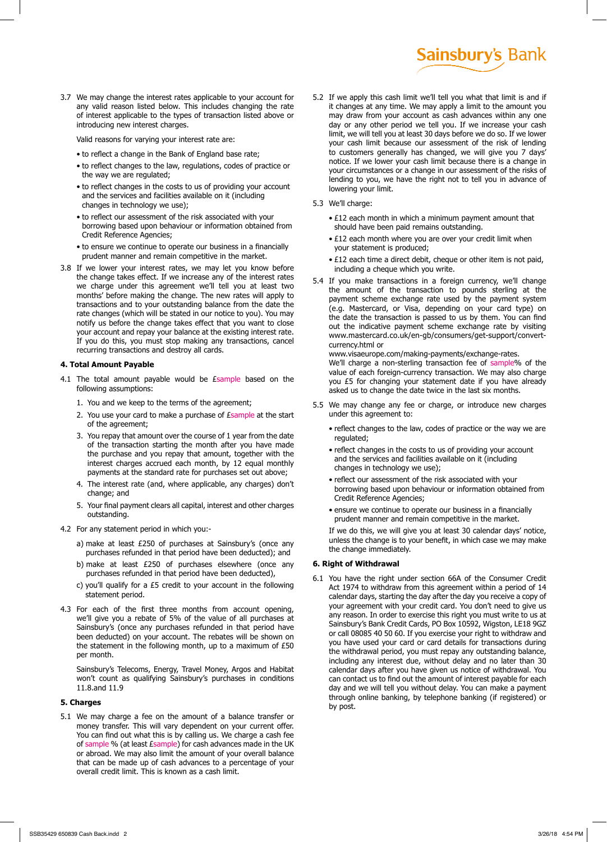3.7 We may change the interest rates applicable to your account for any valid reason listed below. This includes changing the rate of interest applicable to the types of transaction listed above or introducing new interest charges.

Valid reasons for varying your interest rate are:

- to reflect a change in the Bank of England base rate;
- to reflect changes to the law, regulations, codes of practice or the way we are regulated;
- to reflect changes in the costs to us of providing your account and the services and facilities available on it (including changes in technology we use);
- to reflect our assessment of the risk associated with your borrowing based upon behaviour or information obtained from Credit Reference Agencies;
- to ensure we continue to operate our business in a financially prudent manner and remain competitive in the market.
- 3.8 If we lower your interest rates, we may let you know before the change takes effect. If we increase any of the interest rates we charge under this agreement we'll tell you at least two months' before making the change. The new rates will apply to transactions and to your outstanding balance from the date the rate changes (which will be stated in our notice to you). You may notify us before the change takes effect that you want to close your account and repay your balance at the existing interest rate. If you do this, you must stop making any transactions, cancel recurring transactions and destroy all cards.

#### **4. Total Amount Payable**

- 4.1 The total amount payable would be Esample based on the following assumptions:
	- 1. You and we keep to the terms of the agreement;
	- 2. You use your card to make a purchase of *Esample* at the start of the agreement;
	- 3. You repay that amount over the course of 1 year from the date of the transaction starting the month after you have made the purchase and you repay that amount, together with the interest charges accrued each month, by 12 equal monthly payments at the standard rate for purchases set out above;
	- 4. The interest rate (and, where applicable, any charges) don't change; and
	- 5. Your final payment clears all capital, interest and other charges outstanding.
- 4.2 For any statement period in which you:
	- a) make at least £250 of purchases at Sainsbury's (once any purchases refunded in that period have been deducted); and
	- b) make at least £250 of purchases elsewhere (once any purchases refunded in that period have been deducted),
	- c) you'll qualify for a £5 credit to your account in the following statement period.
- 4.3 For each of the first three months from account opening, we'll give you a rebate of 5% of the value of all purchases at Sainsbury's (once any purchases refunded in that period have been deducted) on your account. The rebates will be shown on the statement in the following month, up to a maximum of £50 per month.

Sainsbury's Telecoms, Energy, Travel Money, Argos and Habitat won't count as qualifying Sainsbury's purchases in conditions 11.8.and 11.9

#### **5. Charges**

5.1 We may charge a fee on the amount of a balance transfer or money transfer. This will vary dependent on your current offer. You can find out what this is by calling us. We charge a cash fee of sample % (at least £sample) for cash advances made in the UK or abroad. We may also limit the amount of your overall balance that can be made up of cash advances to a percentage of your overall credit limit. This is known as a cash limit.

5.2 If we apply this cash limit we'll tell you what that limit is and if it changes at any time. We may apply a limit to the amount you may draw from your account as cash advances within any one day or any other period we tell you. If we increase your cash limit, we will tell you at least 30 days before we do so. If we lower your cash limit because our assessment of the risk of lending to customers generally has changed, we will give you 7 days' notice. If we lower your cash limit because there is a change in your circumstances or a change in our assessment of the risks of lending to you, we have the right not to tell you in advance of lowering your limit.

**Sainsbury's Bank** 

- 5.3 We'll charge:
	- £12 each month in which a minimum payment amount that should have been paid remains outstanding.
	- £12 each month where you are over your credit limit when your statement is produced;
	- £12 each time a direct debit, cheque or other item is not paid, including a cheque which you write.
- 5.4 If you make transactions in a foreign currency, we'll change the amount of the transaction to pounds sterling at the payment scheme exchange rate used by the payment system (e.g. Mastercard, or Visa, depending on your card type) on the date the transaction is passed to us by them. You can find out the indicative payment scheme exchange rate by visiting www.mastercard.co.uk/en-gb/consumers/get-support/convertcurrency.html or

www.visaeurope.com/making-payments/exchange-rates. We'll charge a non-sterling transaction fee of sample% of the value of each foreign-currency transaction. We may also charge you £5 for changing your statement date if you have already asked us to change the date twice in the last six months.

- 5.5 We may change any fee or charge, or introduce new charges under this agreement to:
	- reflect changes to the law, codes of practice or the way we are regulated;
	- reflect changes in the costs to us of providing your account and the services and facilities available on it (including changes in technology we use);
	- reflect our assessment of the risk associated with your borrowing based upon behaviour or information obtained from Credit Reference Agencies;
	- ensure we continue to operate our business in a financially prudent manner and remain competitive in the market. If we do this, we will give you at least 30 calendar days' notice, unless the change is to your benefit, in which case we may make the change immediately.

#### **6. Right of Withdrawal**

6.1 You have the right under section 66A of the Consumer Credit Act 1974 to withdraw from this agreement within a period of 14 calendar days, starting the day after the day you receive a copy of your agreement with your credit card. You don't need to give us any reason. In order to exercise this right you must write to us at Sainsbury's Bank Credit Cards, PO Box 10592, Wigston, LE18 9GZ or call 08085 40 50 60. If you exercise your right to withdraw and you have used your card or card details for transactions during the withdrawal period, you must repay any outstanding balance, including any interest due, without delay and no later than 30 calendar days after you have given us notice of withdrawal. You can contact us to find out the amount of interest payable for each day and we will tell you without delay. You can make a payment through online banking, by telephone banking (if registered) or by post.